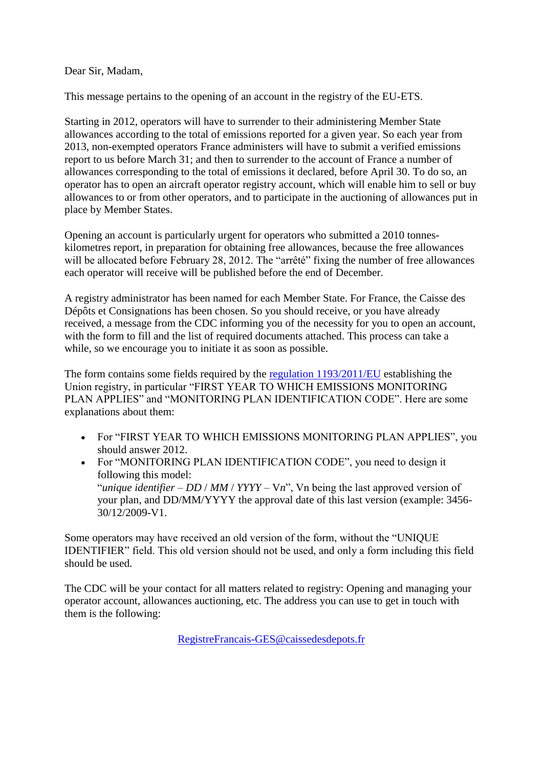## Dear Sir, Madam,

This message pertains to the opening of an account in the registry of the EU-ETS.

Starting in 2012, operators will have to surrender to their administering Member State allowances according to the total of emissions reported for a given year. So each year from 2013, non-exempted operators France administers will have to submit a verified emissions report to us before March 31; and then to surrender to the account of France a number of allowances corresponding to the total of emissions it declared, before April 30. To do so, an operator has to open an aircraft operator registry account, which will enable him to sell or buy allowances to or from other operators, and to participate in the auctioning of allowances put in place by Member States.

Opening an account is particularly urgent for operators who submitted a 2010 tonneskilometres report, in preparation for obtaining free allowances, because the free allowances will be allocated before February 28, 2012. The "arrêté" fixing the number of free allowances each operator will receive will be published before the end of December.

A registry administrator has been named for each Member State. For France, the Caisse des Dépôts et Consignations has been chosen. So you should receive, or you have already received, a message from the CDC informing you of the necessity for you to open an account, with the form to fill and the list of required documents attached. This process can take a while, so we encourage you to initiate it as soon as possible.

The form contains some fields required by the [regulation 1193/2011/EU](http://eur-lex.europa.eu/LexUriServ/LexUriServ.do?uri=OJ:L:2011:315:0001:0054:EN:PDF) establishing the Union registry, in particular "FIRST YEAR TO WHICH EMISSIONS MONITORING PLAN APPLIES" and "MONITORING PLAN IDENTIFICATION CODE". Here are some explanations about them:

- For "FIRST YEAR TO WHICH EMISSIONS MONITORING PLAN APPLIES", you should answer 2012.
- For "MONITORING PLAN IDENTIFICATION CODE", you need to design it following this model: "*unique identifier* – *DD* / *MM* / *YYYY* – V*n*", Vn being the last approved version of your plan, and DD/MM/YYYY the approval date of this last version (example: 3456- 30/12/2009-V1.

Some operators may have received an old version of the form, without the "UNIQUE IDENTIFIER" field. This old version should not be used, and only a form including this field should be used.

The CDC will be your contact for all matters related to registry: Opening and managing your operator account, allowances auctioning, etc. The address you can use to get in touch with them is the following:

[RegistreFrancais-GES@caissedesdepots.fr](mailto:RegistreFrancais-GES@caissedesdepots.fr)